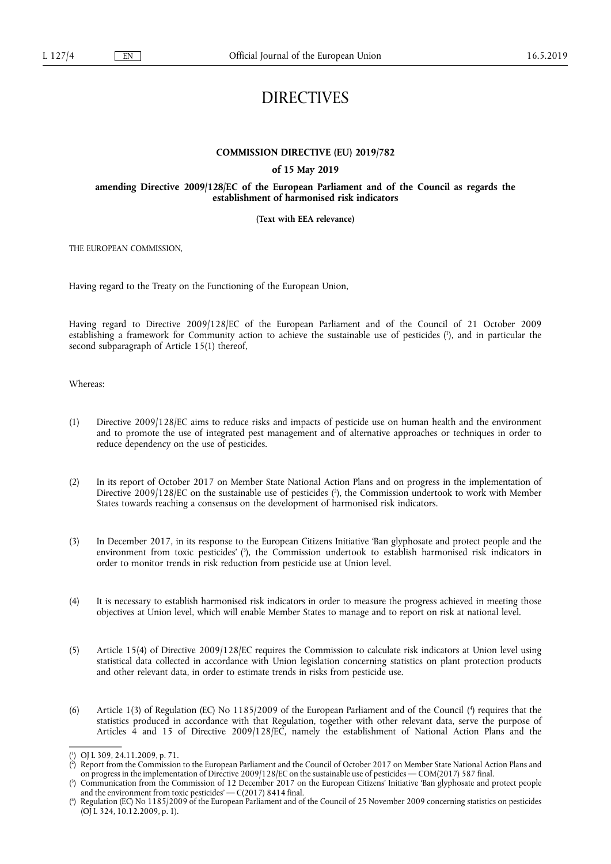# DIRECTIVES

## **COMMISSION DIRECTIVE (EU) 2019/782**

#### **of 15 May 2019**

## **amending Directive 2009/128/EC of the European Parliament and of the Council as regards the establishment of harmonised risk indicators**

#### **(Text with EEA relevance)**

THE EUROPEAN COMMISSION,

Having regard to the Treaty on the Functioning of the European Union,

Having regard to Directive 2009/128/EC of the European Parliament and of the Council of 21 October 2009 establishing a framework for Community action to achieve the sustainable use of pesticides ( 1 ), and in particular the second subparagraph of Article 15(1) thereof,

Whereas:

- (1) Directive 2009/128/EC aims to reduce risks and impacts of pesticide use on human health and the environment and to promote the use of integrated pest management and of alternative approaches or techniques in order to reduce dependency on the use of pesticides.
- (2) In its report of October 2017 on Member State National Action Plans and on progress in the implementation of Directive 2009/128/EC on the sustainable use of pesticides ( 2 ), the Commission undertook to work with Member States towards reaching a consensus on the development of harmonised risk indicators.
- (3) In December 2017, in its response to the European Citizens Initiative 'Ban glyphosate and protect people and the environment from toxic pesticides' ( 3 ), the Commission undertook to establish harmonised risk indicators in order to monitor trends in risk reduction from pesticide use at Union level.
- (4) It is necessary to establish harmonised risk indicators in order to measure the progress achieved in meeting those objectives at Union level, which will enable Member States to manage and to report on risk at national level.
- (5) Article 15(4) of Directive 2009/128/EC requires the Commission to calculate risk indicators at Union level using statistical data collected in accordance with Union legislation concerning statistics on plant protection products and other relevant data, in order to estimate trends in risks from pesticide use.
- (6) Article  $1(3)$  of Regulation (EC) No 1185/2009 of the European Parliament and of the Council ( $4$ ) requires that the statistics produced in accordance with that Regulation, together with other relevant data, serve the purpose of Articles 4 and 15 of Directive 2009/128/EC, namely the establishment of National Action Plans and the

<sup>(</sup> 1 ) OJ L 309, 24.11.2009, p. 71.

<sup>(</sup> 2 ) Report from the Commission to the European Parliament and the Council of October 2017 on Member State National Action Plans and on progress in the implementation of Directive 2009/128/EC on the sustainable use of pesticides — COM(2017) 587 final.

<sup>(</sup> 3 ) Communication from the Commission of 12 December 2017 on the European Citizens' Initiative 'Ban glyphosate and protect people and the environment from toxic pesticides' — C(2017) 8414 final.

<sup>(</sup> 4 ) Regulation (EC) No 1185/2009 of the European Parliament and of the Council of 25 November 2009 concerning statistics on pesticides (OJ L 324, 10.12.2009, p. 1).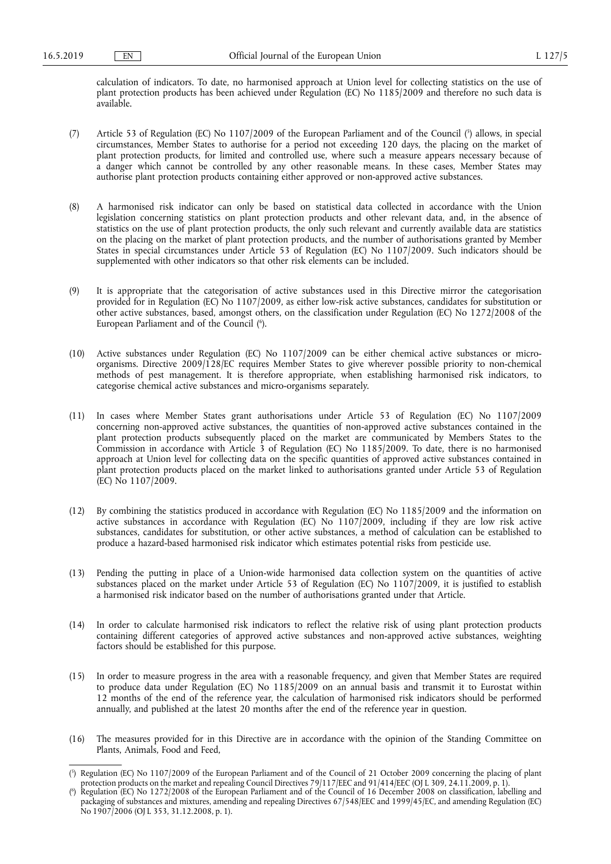calculation of indicators. To date, no harmonised approach at Union level for collecting statistics on the use of plant protection products has been achieved under Regulation (EC) No 1185/2009 and therefore no such data is available.

- (7) Article 53 of Regulation (EC) No 1107/2009 of the European Parliament and of the Council (5) allows, in special circumstances, Member States to authorise for a period not exceeding 120 days, the placing on the market of plant protection products, for limited and controlled use, where such a measure appears necessary because of a danger which cannot be controlled by any other reasonable means. In these cases, Member States may authorise plant protection products containing either approved or non-approved active substances.
- (8) A harmonised risk indicator can only be based on statistical data collected in accordance with the Union legislation concerning statistics on plant protection products and other relevant data, and, in the absence of statistics on the use of plant protection products, the only such relevant and currently available data are statistics on the placing on the market of plant protection products, and the number of authorisations granted by Member States in special circumstances under Article 53 of Regulation (EC) No 1107/2009. Such indicators should be supplemented with other indicators so that other risk elements can be included.
- (9) It is appropriate that the categorisation of active substances used in this Directive mirror the categorisation provided for in Regulation (EC) No 1107/2009, as either low-risk active substances, candidates for substitution or other active substances, based, amongst others, on the classification under Regulation (EC) No 1272/2008 of the European Parliament and of the Council ( 6 ).
- (10) Active substances under Regulation (EC) No 1107/2009 can be either chemical active substances or microorganisms. Directive 2009/128/EC requires Member States to give wherever possible priority to non-chemical methods of pest management. It is therefore appropriate, when establishing harmonised risk indicators, to categorise chemical active substances and micro-organisms separately.
- (11) In cases where Member States grant authorisations under Article 53 of Regulation (EC) No 1107/2009 concerning non-approved active substances, the quantities of non-approved active substances contained in the plant protection products subsequently placed on the market are communicated by Members States to the Commission in accordance with Article 3 of Regulation (EC) No 1185/2009. To date, there is no harmonised approach at Union level for collecting data on the specific quantities of approved active substances contained in plant protection products placed on the market linked to authorisations granted under Article 53 of Regulation (EC) No 1107/2009.
- (12) By combining the statistics produced in accordance with Regulation (EC) No 1185/2009 and the information on active substances in accordance with Regulation (EC) No 1107/2009, including if they are low risk active substances, candidates for substitution, or other active substances, a method of calculation can be established to produce a hazard-based harmonised risk indicator which estimates potential risks from pesticide use.
- (13) Pending the putting in place of a Union-wide harmonised data collection system on the quantities of active substances placed on the market under Article 53 of Regulation (EC) No 1107/2009, it is justified to establish a harmonised risk indicator based on the number of authorisations granted under that Article.
- (14) In order to calculate harmonised risk indicators to reflect the relative risk of using plant protection products containing different categories of approved active substances and non-approved active substances, weighting factors should be established for this purpose.
- (15) In order to measure progress in the area with a reasonable frequency, and given that Member States are required to produce data under Regulation (EC) No 1185/2009 on an annual basis and transmit it to Eurostat within 12 months of the end of the reference year, the calculation of harmonised risk indicators should be performed annually, and published at the latest 20 months after the end of the reference year in question.
- (16) The measures provided for in this Directive are in accordance with the opinion of the Standing Committee on Plants, Animals, Food and Feed,

<sup>(</sup> 5 ) Regulation (EC) No 1107/2009 of the European Parliament and of the Council of 21 October 2009 concerning the placing of plant protection products on the market and repealing Council Directives 79/117/EEC and 91/414/EEC (OJ L 309, 24.11.2009, p. 1).

<sup>(</sup> 6 ) Regulation (EC) No 1272/2008 of the European Parliament and of the Council of 16 December 2008 on classification, labelling and packaging of substances and mixtures, amending and repealing Directives 67/548/EEC and 1999/45/EC, and amending Regulation (EC) No 1907/2006 (OJ L 353, 31.12.2008, p. 1).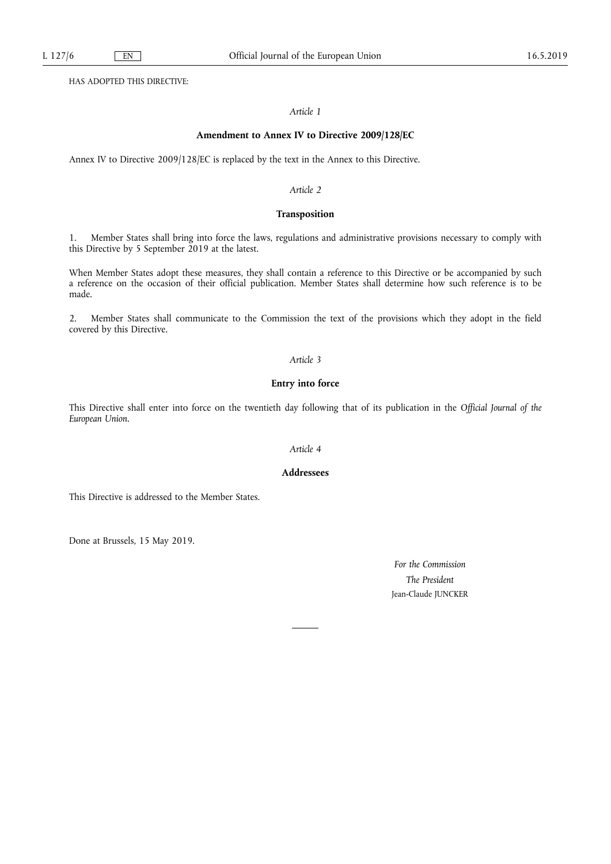HAS ADOPTED THIS DIRECTIVE:

### *Article 1*

#### **Amendment to Annex IV to Directive 2009/128/EC**

Annex IV to Directive 2009/128/EC is replaced by the text in the Annex to this Directive.

#### *Article 2*

## **Transposition**

1. Member States shall bring into force the laws, regulations and administrative provisions necessary to comply with this Directive by 5 September 2019 at the latest.

When Member States adopt these measures, they shall contain a reference to this Directive or be accompanied by such a reference on the occasion of their official publication. Member States shall determine how such reference is to be made.

2. Member States shall communicate to the Commission the text of the provisions which they adopt in the field covered by this Directive.

#### *Article 3*

## **Entry into force**

This Directive shall enter into force on the twentieth day following that of its publication in the *Official Journal of the European Union*.

## *Article 4*

### **Addressees**

This Directive is addressed to the Member States.

Done at Brussels, 15 May 2019.

*For the Commission The President*  Jean-Claude JUNCKER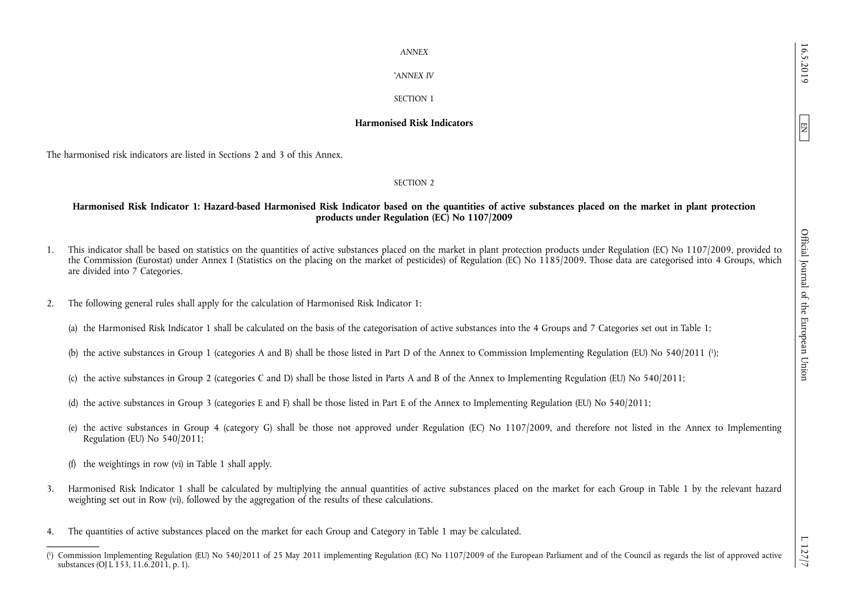EN

'*ANNEX IV* 

# SECTION 1

# **Harmonised Risk Indicators**

The harmonised risk indicators are listed in Sections 2 and 3 of this Annex.

SECTION 2

# **Harmonised Risk Indicator 1: Hazard-based Harmonised Risk Indicator based on the quantities of active substances placed on the market in plant protection products under Regulation (EC) No 1107/2009**

- 1. This indicator shall be based on statistics on the quantities of active substances placed on the market in plant protection products under Regulation (EC) No 1107/2009, provided to the Commission (Eurostat) under Annex I (Statistics on the placing on the market of pesticides) of Regulation (EC) No 1185/2009. Those data are categorised into 4 Groups, which are divided into 7 Categories.
- 2. The following general rules shall apply for the calculation of Harmonised Risk Indicator 1:
	- (a) the Harmonised Risk Indicator 1 shall be calculated on the basis of the categorisation of active substances into the 4 Groups and 7 Categories set out in Table 1;
	- (b) the active substances in Group 1 (categories A and B) shall be those listed in Part D of the Annex to Commission Implementing Regulation (EU) No 540/2011 ( 1 );
	- (c) the active substances in Group 2 (categories C and D) shall be those listed in Parts A and B of the Annex to Implementing Regulation (EU) No 540/2011;
	- (d) the active substances in Group 3 (categories E and F) shall be those listed in Part E of the Annex to Implementing Regulation (EU) No 540/2011;
	- (e) the active substances in Group 4 (category G) shall be those not approved under Regulation (EC) No 1107/2009, and therefore not listed in the Annex to Implementing Regulation (EU) No 540/2011;
	- (f) the weightings in row (vi) in Table 1 shall apply.
- 3. Harmonised Risk Indicator 1 shall be calculated by multiplying the annual quantities of active substances placed on the market for each Group in Table 1 by the relevant hazard weighting set out in Row (vi), followed by the aggregation of the results of these calculations.
- 4. The quantities of active substances placed on the market for each Group and Category in Table 1 may be calculated.

<sup>(</sup> 1 ) Commission Implementing Regulation (EU) No 540/2011 of 25 May 2011 implementing Regulation (EC) No 1107/2009 of the European Parliament and of the Council as regards the list of approved active substances (OJ L 153, 11.6.2011, p. 1).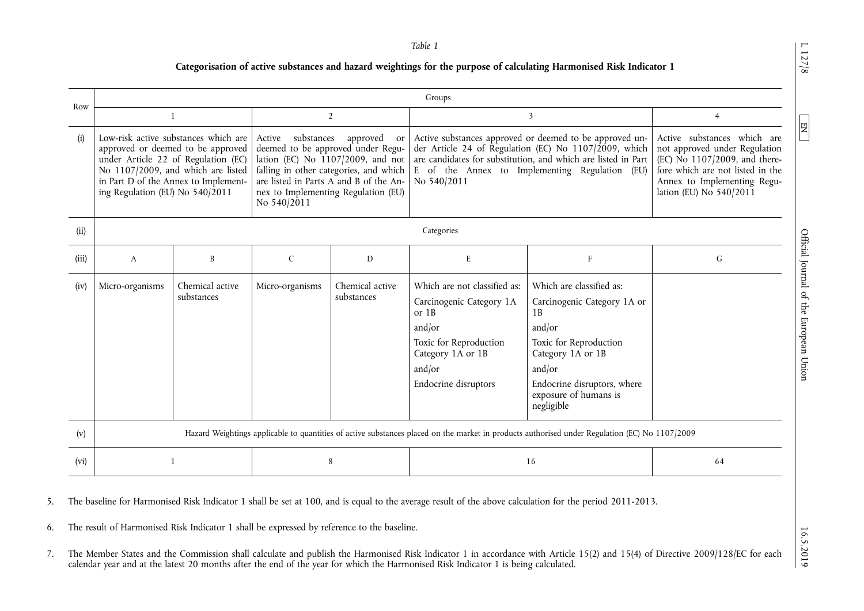*Table 1* 

# **Categorisation of active substances and hazard weightings for the purpose of calculating Harmonised Risk Indicator 1**

| Row   | Groups                                                                                                                                                                                                                              |                               |                                                                                                                                                                                                                                                         |                               |                                                                                                                                                                                                                                                    |                                                                                                                                                                                                        |                                                                                                                                                                                             |  |  |
|-------|-------------------------------------------------------------------------------------------------------------------------------------------------------------------------------------------------------------------------------------|-------------------------------|---------------------------------------------------------------------------------------------------------------------------------------------------------------------------------------------------------------------------------------------------------|-------------------------------|----------------------------------------------------------------------------------------------------------------------------------------------------------------------------------------------------------------------------------------------------|--------------------------------------------------------------------------------------------------------------------------------------------------------------------------------------------------------|---------------------------------------------------------------------------------------------------------------------------------------------------------------------------------------------|--|--|
|       | $\mathbf{1}$                                                                                                                                                                                                                        |                               | $\overline{2}$                                                                                                                                                                                                                                          |                               | 3                                                                                                                                                                                                                                                  |                                                                                                                                                                                                        | $\overline{4}$                                                                                                                                                                              |  |  |
| (i)   | Low-risk active substances which are<br>approved or deemed to be approved<br>under Article 22 of Regulation (EC)<br>No 1107/2009, and which are listed<br>in Part D of the Annex to Implement-<br>ing Regulation (EU) No $540/2011$ |                               | Active substances<br>approved<br>or<br>deemed to be approved under Regu-<br>lation (EC) No 1107/2009, and not<br>falling in other categories, and which<br>are listed in Parts A and B of the An-<br>nex to Implementing Regulation (EU)<br>No 540/2011 |                               | Active substances approved or deemed to be approved un-<br>der Article 24 of Regulation (EC) No 1107/2009, which<br>are candidates for substitution, and which are listed in Part<br>E of the Annex to Implementing Regulation (EU)<br>No 540/2011 |                                                                                                                                                                                                        | Active substances which are<br>not approved under Regulation<br>(EC) No 1107/2009, and there-<br>fore which are not listed in the<br>Annex to Implementing Regu-<br>lation (EU) No 540/2011 |  |  |
| (ii)  | Categories                                                                                                                                                                                                                          |                               |                                                                                                                                                                                                                                                         |                               |                                                                                                                                                                                                                                                    |                                                                                                                                                                                                        |                                                                                                                                                                                             |  |  |
| (iii) | A                                                                                                                                                                                                                                   | B                             | $\mathsf{C}$                                                                                                                                                                                                                                            | D                             | $\mathbf E$                                                                                                                                                                                                                                        | $\mathbf{F}$                                                                                                                                                                                           | ${\bf G}$                                                                                                                                                                                   |  |  |
| (iv)  | Micro-organisms                                                                                                                                                                                                                     | Chemical active<br>substances | Micro-organisms                                                                                                                                                                                                                                         | Chemical active<br>substances | Which are not classified as:<br>Carcinogenic Category 1A<br>or $1B$<br>and/or<br>Toxic for Reproduction<br>Category 1A or 1B<br>and/or<br>Endocrine disruptors                                                                                     | Which are classified as:<br>Carcinogenic Category 1A or<br>1B<br>and/or<br>Toxic for Reproduction<br>Category 1A or 1B<br>and/or<br>Endocrine disruptors, where<br>exposure of humans is<br>negligible |                                                                                                                                                                                             |  |  |
| (v)   | Hazard Weightings applicable to quantities of active substances placed on the market in products authorised under Regulation (EC) No 1107/2009                                                                                      |                               |                                                                                                                                                                                                                                                         |                               |                                                                                                                                                                                                                                                    |                                                                                                                                                                                                        |                                                                                                                                                                                             |  |  |
| (vi)  | $\mathbf{1}$                                                                                                                                                                                                                        |                               | 8                                                                                                                                                                                                                                                       |                               | 16                                                                                                                                                                                                                                                 |                                                                                                                                                                                                        | 64                                                                                                                                                                                          |  |  |

5. The baseline for Harmonised Risk Indicator 1 shall be set at 100, and is equal to the average result of the above calculation for the period 2011-2013.

6. The result of Harmonised Risk Indicator 1 shall be expressed by reference to the baseline.

7. The Member States and the Commission shall calculate and publish the Harmonised Risk Indicator 1 in accordance with Article 15(2) and 15(4) of Directive 2009/128/EC for each calendar year and at the latest 20 months after the end of the year for which the Harmonised Risk Indicator 1 is being calculated.

 $1.177/8$  D 18.5.2019 D 16.6.2019 Conficial Journal of the European Union ENGLIZEC 15.0.40 Official Journal of the European Union

 $1\,127/8$ 

 $\boxed{\phantom{1}}$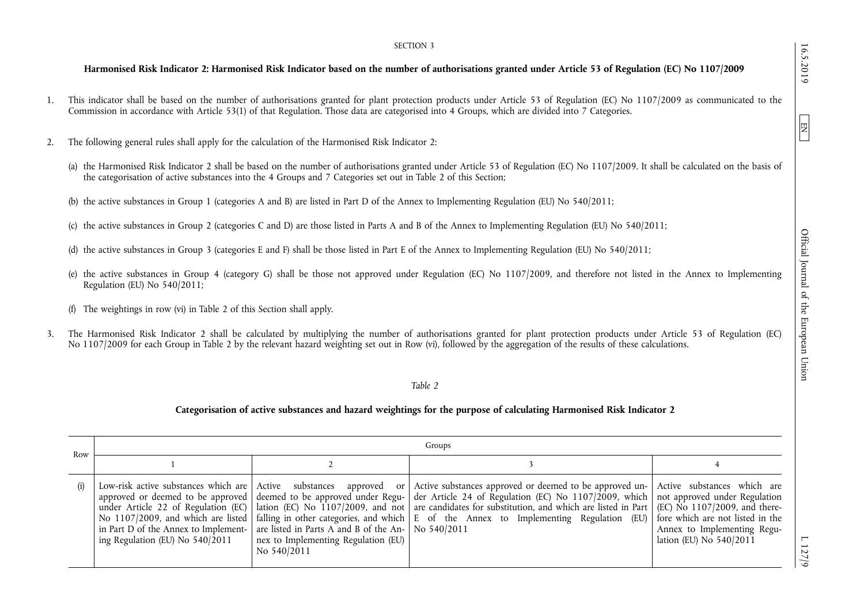## SECTION 3

# **Harmonised Risk Indicator 2: Harmonised Risk Indicator based on the number of authorisations granted under Article 53 of Regulation (EC) No 1107/2009**

- 1. This indicator shall be based on the number of authorisations granted for plant protection products under Article 53 of Regulation (EC) No 1107/2009 as communicated to the Commission in accordance with Article 53(1) of that Regulation. Those data are categorised into 4 Groups, which are divided into 7 Categories.
- 2. The following general rules shall apply for the calculation of the Harmonised Risk Indicator 2:
	- (a) the Harmonised Risk Indicator 2 shall be based on the number of authorisations granted under Article 53 of Regulation (EC) No 1107/2009. It shall be calculated on the basis of the categorisation of active substances into the 4 Groups and 7 Categories set out in Table 2 of this Section;
	- (b) the active substances in Group 1 (categories A and B) are listed in Part D of the Annex to Implementing Regulation (EU) No 540/2011;
	- (c) the active substances in Group 2 (categories C and D) are those listed in Parts A and B of the Annex to Implementing Regulation (EU) No 540/2011;
	- (d) the active substances in Group 3 (categories E and F) shall be those listed in Part E of the Annex to Implementing Regulation (EU) No 540/2011;
	- (e) the active substances in Group 4 (category G) shall be those not approved under Regulation (EC) No 1107/2009, and therefore not listed in the Annex to Implementing Regulation (EU) No 540/2011;
	- (f) The weightings in row (vi) in Table 2 of this Section shall apply.
- 3. The Harmonised Risk Indicator 2 shall be calculated by multiplying the number of authorisations granted for plant protection products under Article 53 of Regulation (EC) No 1107/2009 for each Group in Table 2 by the relevant hazard weighting set out in Row (vi), followed by the aggregation of the results of these calculations.

# *Table 2*

# **Categorisation of active substances and hazard weightings for the purpose of calculating Harmonised Risk Indicator 2**

| Row | Groups                          |                                                                                                                                                       |                                                                                                                                                                                                                                                                                                                                                                                                                                                                                                                                                                                                                                                                       |                                                        |  |  |  |
|-----|---------------------------------|-------------------------------------------------------------------------------------------------------------------------------------------------------|-----------------------------------------------------------------------------------------------------------------------------------------------------------------------------------------------------------------------------------------------------------------------------------------------------------------------------------------------------------------------------------------------------------------------------------------------------------------------------------------------------------------------------------------------------------------------------------------------------------------------------------------------------------------------|--------------------------------------------------------|--|--|--|
|     |                                 |                                                                                                                                                       |                                                                                                                                                                                                                                                                                                                                                                                                                                                                                                                                                                                                                                                                       |                                                        |  |  |  |
| (i) | ing Regulation (EU) No 540/2011 | in Part D of the Annex to Implement- are listed in Parts A and B of the An- $\vert$ No 540/2011<br>nex to Implementing Regulation (EU)<br>No 540/2011 | Low-risk active substances which are Active substances approved or Active substances approved or deemed to be approved un- Active substances which are<br>approved or deemed to be approved deemed to be approved under Regu- der Article 24 of Regulation (EC) No 1107/2009, which not approved under Regulation<br>under Article 22 of Regulation (EC) lation (EC) No $1107/2009$ , and not are candidates for substitution, and which are listed in Part (EC) No $1107/2009$ , and there-<br>No 1107/2009, and which are listed   falling in other categories, and which $\vert$ E of the Annex to Implementing Regulation (EU)   fore which are not listed in the | Annex to Implementing Regu-<br>lation (EU) No 540/2011 |  |  |  |

 $L$  127/9

16.5.2019

EN